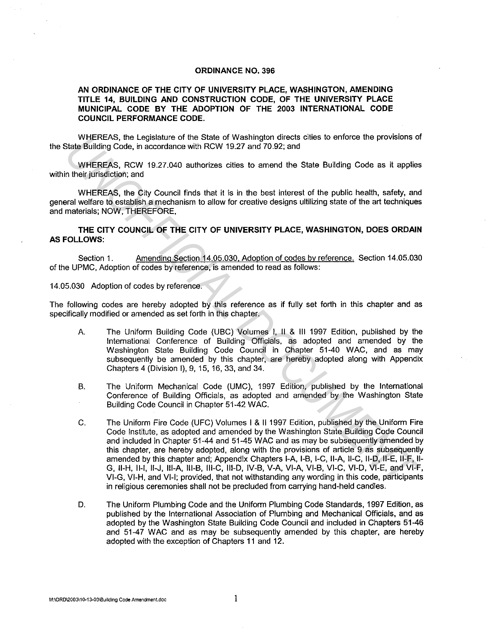## ORDINANCE NO. 396

## AN ORDINANCE OF THE CITY OF UNIVERSITY PLACE, WASHINGTON, AMENDING TITLE 14, BUILDING AND CONSTRUCTION CODE, OF THE UNIVERSITY PLACE MUNICIPAL CODE BY THE ADOPTION OF THE 2003 INTERNATIONAL CODE COUNCIL PERFORMANCE CODE.

WHEREAS, the Legislature of the State of Washington directs cities to enforce the provisions of the State Building Code, in accordance with RCW 19.27 and 70.92; and

WHEREAS, RCW 19.27.040 authorizes cities to amend the State Building Code as it applies within their jurisdiction; and

WHEREAS, the City Council finds that it is in the best interest of the public health, safety, and general welfare to establjsh a mechanism to allow for creative designs ultilizing state of the art techniques and materials; NOW, THEREFORE,

THE CITY COUNCIL OF THE CITY OF UNIVERSITY PLACE, WASHINGTON, DOES ORDAIN AS FOLLOWS:

Section 1. Amending Section 14.05.030, Adoption of codes by reference. Section 14.05.030 of the UPMC, Adoption of codes by reference, is amended to read as follows:

14.05.030 Adoption of codes by reference.

The following codes are hereby adopted by this reference as if fully set forth in this chapter and as specifically modified or amended as set forth in this chapter.

- A. The Uniform Building Code (UBC) Volumes I, II & Ill 1997 Edition, published by the International Conference of Building Officials, as adopted and amended by the Washington State Building Code Council in Chapter 51-40 WAC, and as may subsequently be amended by this chapter, are hereby adopted along with Appendix Chapters 4 (Division I), 9, 15, 16, 33, and 34.
- B. The Uniform Mechanical Code (UMC), 1997 Edition, published by the International Conference of Building Officials, as adopted and amended by the Washington State Building Code Council in Chapter 51-42 WAC.
- C. The Uniform Fire Code (UFC) Volumes I & 111997 Edition, published by the Uniform Fire Code Institute. as adopted and amended by the Washington State Building Code Council and included in Chapter 51-44 and 51-45 WAC and as may be subsequently amended by this chapter, are hereby adopted, along with the provisions of article 9 as subsequently amended by this chapter and; Appendix Chapters I-A, 1-B, 1-C, II-A, 11-C, 11-D, 11-E, 11-F, 11- G, 11-H, 11-1, 11-J, Ill-A, 111-B, 111-C, 111-D, IV-B, V-A, VI-A, Vl-B, Vl-C, Vl-D, Vl-E, and Vl-F, Vl-G, Vl-H, and VI-I; provided, that not withstanding any wording in this code, participants in religious ceremonies shall not be precluded from carrying hand-held candles. WHEREAS, the Legislature of the State of Washington drectis clues to entorce the provisions of<br>Vietner School, in accordance with RCW 19.27 and 70.92; and<br>
WHEREAS, RCW 19.27 040 authorizes clies to amend the State Buildin
	- D. The Uniform Plumbing Code and the Uniform Plumbing Code Standards, 1997 Edition, as published by the International Association of Plumbing and Mechanical Officials, and as adopted by the Washington State Building Code Council and included in Chapters 51-46 and 51-47 WAC and as may be subsequently amended by this chapter, are hereby adopted with the exception of Chapters 11 and 12.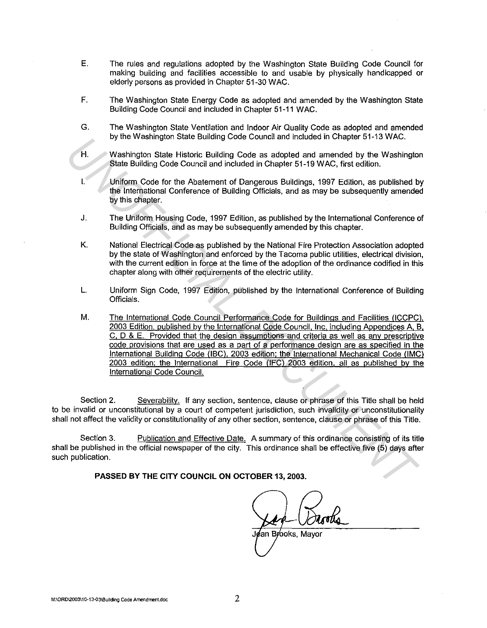- E. The rules and regulations adopted by the Washington State Building Code Council for making building and facilities accessible to and usable by physically handicapped or elderly persons as provided in Chapter 51-30 WAC.
- F. The Washington State Energy Code as adopted and amended by the Washington State Building Code Council and included in Chapter 51-11 WAC.
- G. The Washington State Ventilation and Indoor Air Quality Code as adopted and amended by the Washington State Building Code Council and included in Chapter 51-13 WAC.
- H. Washington State Historic Building Code as adopted and amended by the Washington State Building Code Council and included in Chapter 51-19 WAC, first edition.
- I. Uniform Code for the Abatement of Dangerous Buildings, 1997 Edition, as published by the International Conference of Building Officials, and as may be subsequently amended by this chapter.
- J. The Uniform Housing Code, 1997 Edition, as published by the International Conference of Building Officials, and as may be subsequently amended by this chapter.
- K. National Electrical Code as published by the National Fire Protection Association adopted by the state of Washington and enforced by the Tacoma public utilities, electrical division, with the current edition in force at the time of the adoption of the ordinance codified in this chapter along with other requirements of the electric utility.
- L. Uniform Sign Code, 1997 Edition, published by the International Conference of Building Officials.
- M. The International Code Council Performance Code for Buildings and Facilities (ICCPC). 2003 Edition, published by the International Code Council, Inc. including Appendices A, B. C, D & E. Provided that the design assumptions and criteria as well as any prescriptive code provisions that are used as a part of a performance design are as specified in the International Building Code (IBC), 2003 edition; the International Mechanical Code (IMC) 2003 edition; the International Fire Code (IFC) 2003 edition, all as published by the International Code Council. *UN* We westlington State Bidiologic Code counta and motiosed in Crispier 51-13 WAC.<br>
Washington State Beliefficial Code Coronal and included in Chapter 51-19 WAC, first edition.<br>
Uniform Code for the Abatement of Dangerou

Section 2. Severability. If any section, sentence, clause or phrase of this Title shall be held to be invalid or unconstitutional by a court of competent jurisdiction, such invalidity or unconstitutionality shall not affect the validity or constitutionality of any other section, sentence, clause or phrase of this Title.

Section 3. Publication and Effective Date. A summary of this ordinance consisting of its title shall be published in the official newspaper of the city. This ordinance shall be effective five (5) days after such publication.

**PASSED BY THE CITY COUNCIL ON OCTOBER** 13, **2003.** 

J¢an Br⁄ooks, Mavor